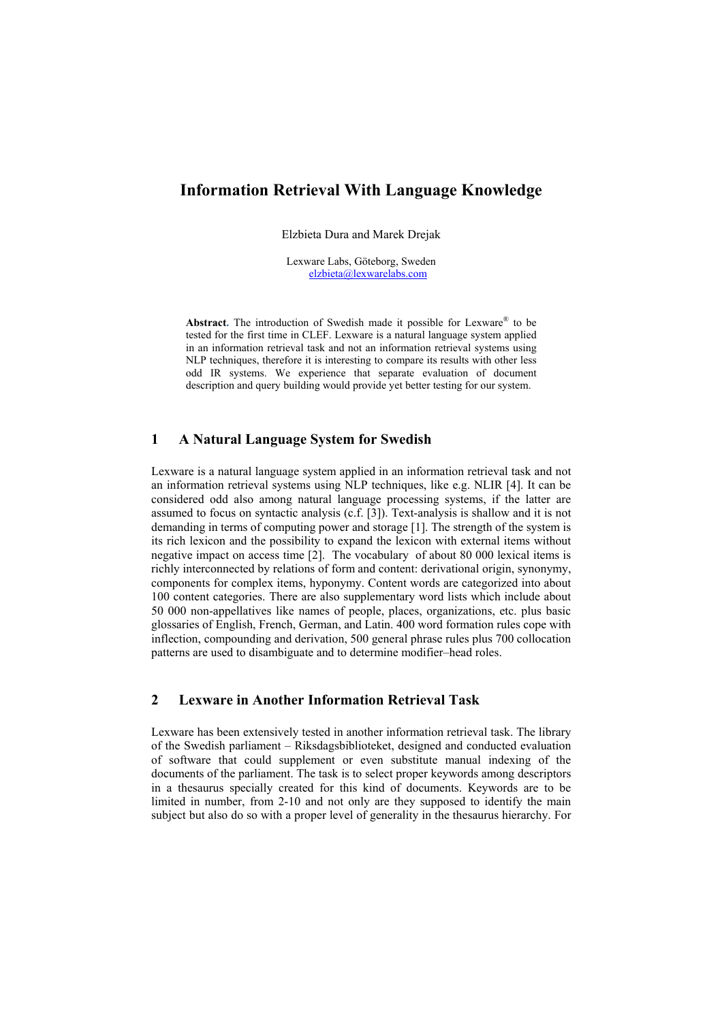# **Information Retrieval With Language Knowledge**

Elzbieta Dura and Marek Drejak

Lexware Labs, Göteborg, Sweden [elzbieta@lexwarelabs.com](mailto:elzbieta@lexwarelabs.com)

Abstract. The introduction of Swedish made it possible for Lexware<sup>®</sup> to be tested for the first time in CLEF. Lexware is a natural language system applied in an information retrieval task and not an information retrieval systems using NLP techniques, therefore it is interesting to compare its results with other less odd IR systems. We experience that separate evaluation of document description and query building would provide yet better testing for our system.

### **1 A Natural Language System for Swedish**

Lexware is a natural language system applied in an information retrieval task and not an information retrieval systems using NLP techniques, like e.g. NLIR [4]. It can be considered odd also among natural language processing systems, if the latter are assumed to focus on syntactic analysis (c.f. [3]). Text-analysis is shallow and it is not demanding in terms of computing power and storage [1]. The strength of the system is its rich lexicon and the possibility to expand the lexicon with external items without negative impact on access time [2]. The vocabulary of about 80 000 lexical items is richly interconnected by relations of form and content: derivational origin, synonymy, components for complex items, hyponymy. Content words are categorized into about 100 content categories. There are also supplementary word lists which include about 50 000 non-appellatives like names of people, places, organizations, etc. plus basic glossaries of English, French, German, and Latin. 400 word formation rules cope with inflection, compounding and derivation, 500 general phrase rules plus 700 collocation patterns are used to disambiguate and to determine modifier–head roles.

## **2 Lexware in Another Information Retrieval Task**

Lexware has been extensively tested in another information retrieval task. The library of the Swedish parliament – Riksdagsbiblioteket, designed and conducted evaluation of software that could supplement or even substitute manual indexing of the documents of the parliament. The task is to select proper keywords among descriptors in a thesaurus specially created for this kind of documents. Keywords are to be limited in number, from 2-10 and not only are they supposed to identify the main subject but also do so with a proper level of generality in the thesaurus hierarchy. For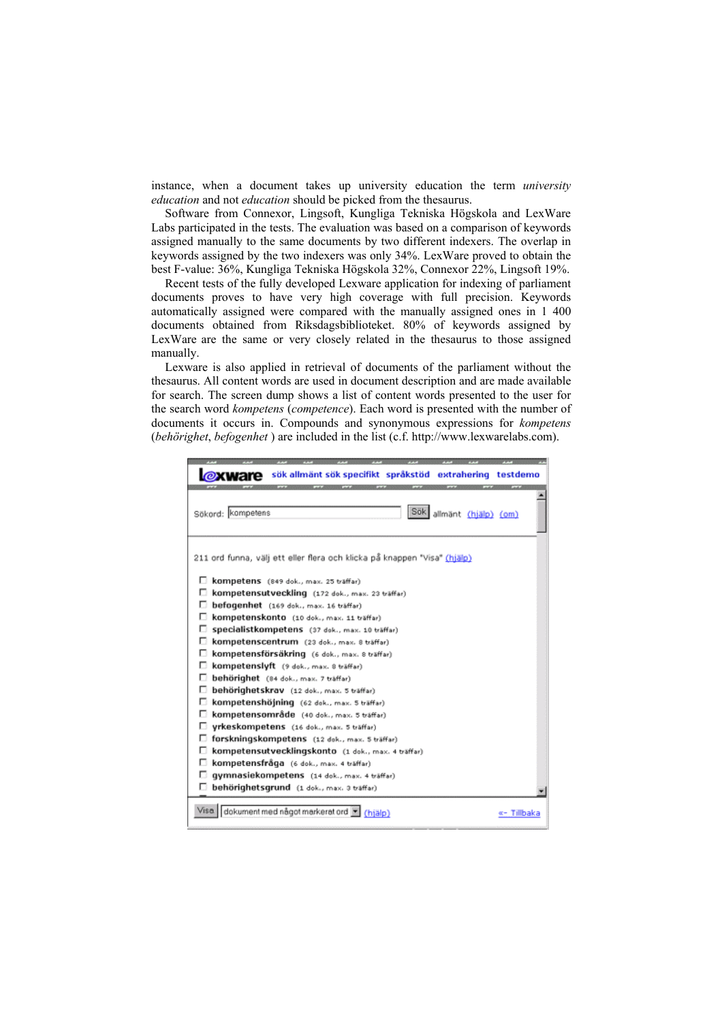instance, when a document takes up university education the term *university education* and not *education* should be picked from the thesaurus.

Software from Connexor, Lingsoft, Kungliga Tekniska Högskola and LexWare Labs participated in the tests. The evaluation was based on a comparison of keywords assigned manually to the same documents by two different indexers. The overlap in keywords assigned by the two indexers was only 34%. LexWare proved to obtain the best F-value: 36%, Kungliga Tekniska Högskola 32%, Connexor 22%, Lingsoft 19%.

Recent tests of the fully developed Lexware application for indexing of parliament documents proves to have very high coverage with full precision. Keywords automatically assigned were compared with the manually assigned ones in 1 400 documents obtained from Riksdagsbiblioteket. 80% of keywords assigned by LexWare are the same or very closely related in the thesaurus to those assigned manually.

Lexware is also applied in retrieval of documents of the parliament without the thesaurus. All content words are used in document description and are made available for search. The screen dump shows a list of content words presented to the user for the search word *kompetens* (*competence*). Each word is presented with the number of documents it occurs in. Compounds and synonymous expressions for *kompetens* (*behörighet*, *befogenhet* ) are included in the list (c.f. http://www.lexwarelabs.com).

| sök allmänt sök specifikt språkstöd extrahering                          | testdemo    |
|--------------------------------------------------------------------------|-------------|
| Sök<br>Sökord: kompetens<br>allmänt (hjälp) (om)                         |             |
| 211 ord funna, välj ett eller flera och klicka på knappen "Visa" (hjälp) |             |
| п<br>kompetens (849 dok., max. 25 träffar)                               |             |
| kompetensutveckling (172 dok., max. 23 träffar)                          |             |
| befogenhet (169 dok., max. 16 träffar)<br>п                              |             |
| kompetenskonto (10 dok., max. 11 träffar)                                |             |
| D<br>Specialistkompetens (37 dok., max. 10 träffar)                      |             |
| kompetenscentrum (23 dok., max. 8 träffar)                               |             |
| D<br>kompetensförsäkring (6 dok., max. 8 träffar)                        |             |
| kompetenslyft (9 dok., max. 8 träffar)<br>o                              |             |
| п<br>behörighet (84 dok., max. 7 träffar)                                |             |
| behörighetskrav (12 dok., max. 5 träffar)                                |             |
| kompetenshöjning (62 dok., max. 5 träffar)                               |             |
| kompetensområde (40 dok., max. 5 träffar)<br>п                           |             |
| vrkeskompetens (16 dok., max. 5 träffar)                                 |             |
| forskningskompetens (12 dok., max. 5 träffar)<br>o                       |             |
| kompetensutvecklingskonto (1 dok., max. 4 träffar)                       |             |
| kompetensfråga (6 dok., max. 4 träffar)<br>D                             |             |
| gymnasiekompetens (14 dok., max. 4 träffar)                              |             |
| behörighetsgrund (1 dok., max. 3 träffar)                                |             |
| dokument med något markerat ord<br>Visa.<br>(hiälp)                      | «- Tillbaka |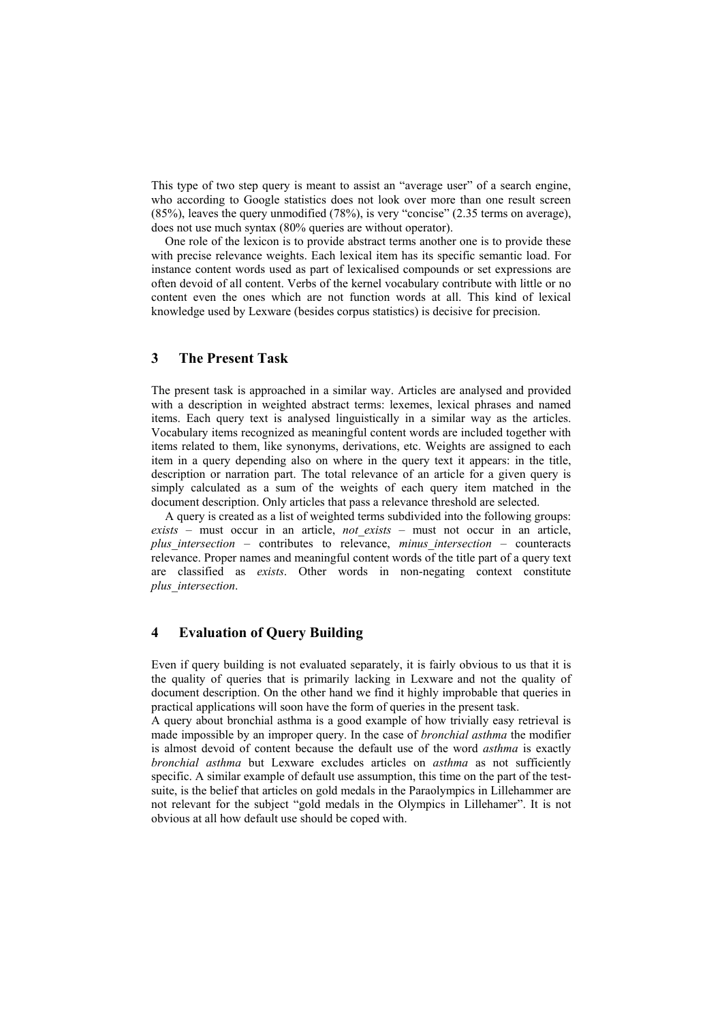This type of two step query is meant to assist an "average user" of a search engine, who according to Google statistics does not look over more than one result screen (85%), leaves the query unmodified (78%), is very "concise" (2.35 terms on average), does not use much syntax (80% queries are without operator).

One role of the lexicon is to provide abstract terms another one is to provide these with precise relevance weights. Each lexical item has its specific semantic load. For instance content words used as part of lexicalised compounds or set expressions are often devoid of all content. Verbs of the kernel vocabulary contribute with little or no content even the ones which are not function words at all. This kind of lexical knowledge used by Lexware (besides corpus statistics) is decisive for precision.

## **3 The Present Task**

The present task is approached in a similar way. Articles are analysed and provided with a description in weighted abstract terms: lexemes, lexical phrases and named items. Each query text is analysed linguistically in a similar way as the articles. Vocabulary items recognized as meaningful content words are included together with items related to them, like synonyms, derivations, etc. Weights are assigned to each item in a query depending also on where in the query text it appears: in the title, description or narration part. The total relevance of an article for a given query is simply calculated as a sum of the weights of each query item matched in the document description. Only articles that pass a relevance threshold are selected.

A query is created as a list of weighted terms subdivided into the following groups: *exists* – must occur in an article, *not\_exists* – must not occur in an article, *plus\_intersection* – contributes to relevance, *minus\_intersection* – counteracts relevance. Proper names and meaningful content words of the title part of a query text are classified as *exists*. Other words in non-negating context constitute *plus\_intersection*.

### **4 Evaluation of Query Building**

Even if query building is not evaluated separately, it is fairly obvious to us that it is the quality of queries that is primarily lacking in Lexware and not the quality of document description. On the other hand we find it highly improbable that queries in practical applications will soon have the form of queries in the present task.

A query about bronchial asthma is a good example of how trivially easy retrieval is made impossible by an improper query. In the case of *bronchial asthma* the modifier is almost devoid of content because the default use of the word *asthma* is exactly *bronchial asthma* but Lexware excludes articles on *asthma* as not sufficiently specific. A similar example of default use assumption, this time on the part of the testsuite, is the belief that articles on gold medals in the Paraolympics in Lillehammer are not relevant for the subject "gold medals in the Olympics in Lillehamer". It is not obvious at all how default use should be coped with.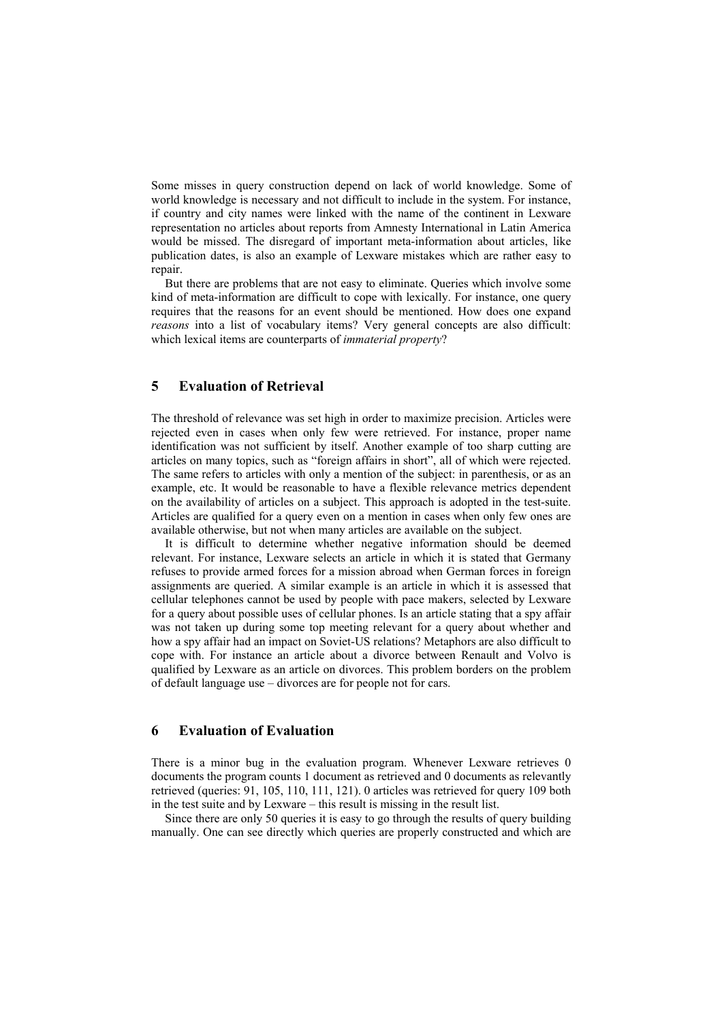Some misses in query construction depend on lack of world knowledge. Some of world knowledge is necessary and not difficult to include in the system. For instance, if country and city names were linked with the name of the continent in Lexware representation no articles about reports from Amnesty International in Latin America would be missed. The disregard of important meta-information about articles, like publication dates, is also an example of Lexware mistakes which are rather easy to repair.

But there are problems that are not easy to eliminate. Queries which involve some kind of meta-information are difficult to cope with lexically. For instance, one query requires that the reasons for an event should be mentioned. How does one expand *reasons* into a list of vocabulary items? Very general concepts are also difficult: which lexical items are counterparts of *immaterial property*?

### **5 Evaluation of Retrieval**

The threshold of relevance was set high in order to maximize precision. Articles were rejected even in cases when only few were retrieved. For instance, proper name identification was not sufficient by itself. Another example of too sharp cutting are articles on many topics, such as "foreign affairs in short", all of which were rejected. The same refers to articles with only a mention of the subject: in parenthesis, or as an example, etc. It would be reasonable to have a flexible relevance metrics dependent on the availability of articles on a subject. This approach is adopted in the test-suite. Articles are qualified for a query even on a mention in cases when only few ones are available otherwise, but not when many articles are available on the subject.

It is difficult to determine whether negative information should be deemed relevant. For instance, Lexware selects an article in which it is stated that Germany refuses to provide armed forces for a mission abroad when German forces in foreign assignments are queried. A similar example is an article in which it is assessed that cellular telephones cannot be used by people with pace makers, selected by Lexware for a query about possible uses of cellular phones. Is an article stating that a spy affair was not taken up during some top meeting relevant for a query about whether and how a spy affair had an impact on Soviet-US relations? Metaphors are also difficult to cope with. For instance an article about a divorce between Renault and Volvo is qualified by Lexware as an article on divorces. This problem borders on the problem of default language use – divorces are for people not for cars.

#### **6 Evaluation of Evaluation**

There is a minor bug in the evaluation program. Whenever Lexware retrieves 0 documents the program counts 1 document as retrieved and 0 documents as relevantly retrieved (queries: 91, 105, 110, 111, 121). 0 articles was retrieved for query 109 both in the test suite and by Lexware – this result is missing in the result list.

Since there are only 50 queries it is easy to go through the results of query building manually. One can see directly which queries are properly constructed and which are